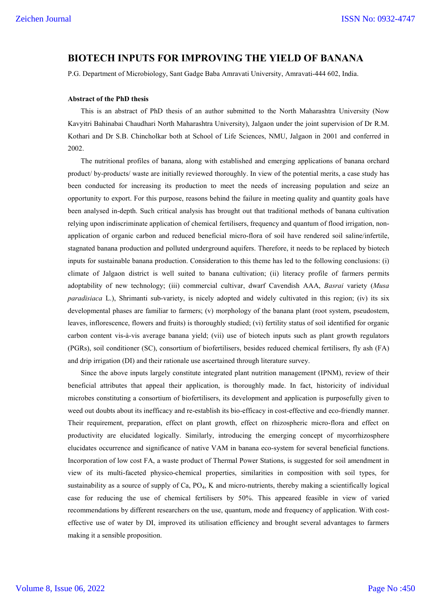## **BIOTECH INPUTS FOR IMPROVING THE YIELD OF BANANA**

P.G. Department of Microbiology, Sant Gadge Baba Amravati University, Amravati-444 602, India.

## **Abstract of the PhD thesis**

This is an abstract of PhD thesis of an author submitted to the North Maharashtra University (Now Kavyitri Bahinabai Chaudhari North Maharashtra University), Jalgaon under the joint supervision of Dr R.M. Kothari and Dr S.B. Chincholkar both at School of Life Sciences, NMU, Jalgaon in 2001 and conferred in 2002.

The nutritional profiles of banana, along with established and emerging applications of banana orchard product/ by-products/ waste are initially reviewed thoroughly. In view of the potential merits, a case study has been conducted for increasing its production to meet the needs of increasing population and seize an opportunity to export. For this purpose, reasons behind the failure in meeting quality and quantity goals have been analysed in-depth. Such critical analysis has brought out that traditional methods of banana cultivation relying upon indiscriminate application of chemical fertilisers, frequency and quantum of flood irrigation, nonapplication of organic carbon and reduced beneficial micro-flora of soil have rendered soil saline/infertile, stagnated banana production and polluted underground aquifers. Therefore, it needs to be replaced by biotech inputs for sustainable banana production. Consideration to this theme has led to the following conclusions: (i) climate of Jalgaon district is well suited to banana cultivation; (ii) literacy profile of farmers permits adoptability of new technology; (iii) commercial cultivar, dwarf Cavendish AAA, *Basrai* variety (*Musa paradisiaca* L.), Shrimanti sub-variety, is nicely adopted and widely cultivated in this region; (iv) its six developmental phases are familiar to farmers; (v) morphology of the banana plant (root system, pseudostem, leaves, inflorescence, flowers and fruits) is thoroughly studied; (vi) fertility status of soil identified for organic carbon content vis-à-vis average banana yield; (vii) use of biotech inputs such as plant growth regulators (PGRs), soil conditioner (SC), consortium of biofertilisers, besides reduced chemical fertilisers, fly ash (FA) and drip irrigation (DI) and their rationale use ascertained through literature survey.

Since the above inputs largely constitute integrated plant nutrition management (IPNM), review of their beneficial attributes that appeal their application, is thoroughly made. In fact, historicity of individual microbes constituting a consortium of biofertilisers, its development and application is purposefully given to weed out doubts about its inefficacy and re-establish its bio-efficacy in cost-effective and eco-friendly manner. Their requirement, preparation, effect on plant growth, effect on rhizospheric micro-flora and effect on productivity are elucidated logically. Similarly, introducing the emerging concept of mycorrhizosphere elucidates occurrence and significance of native VAM in banana eco-system for several beneficial functions. Incorporation of low cost FA, a waste product of Thermal Power Stations, is suggested for soil amendment in view of its multi-faceted physico-chemical properties, similarities in composition with soil types, for sustainability as a source of supply of Ca, PO<sub>4</sub>, K and micro-nutrients, thereby making a scientifically logical case for reducing the use of chemical fertilisers by 50%. This appeared feasible in view of varied recommendations by different researchers on the use, quantum, mode and frequency of application. With costeffective use of water by DI, improved its utilisation efficiency and brought several advantages to farmers making it a sensible proposition.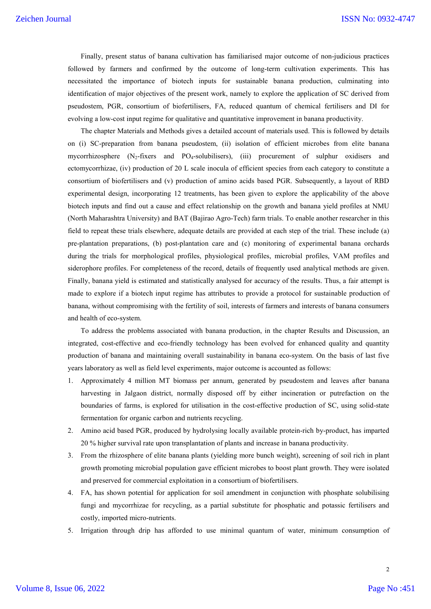Finally, present status of banana cultivation has familiarised major outcome of non-judicious practices followed by farmers and confirmed by the outcome of long-term cultivation experiments. This has necessitated the importance of biotech inputs for sustainable banana production, culminating into identification of major objectives of the present work, namely to explore the application of SC derived from pseudostem, PGR, consortium of biofertilisers, FA, reduced quantum of chemical fertilisers and DI for evolving a low-cost input regime for qualitative and quantitative improvement in banana productivity.

The chapter Materials and Methods gives a detailed account of materials used. This is followed by details on (i) SC-preparation from banana pseudostem, (ii) isolation of efficient microbes from elite banana mycorrhizosphere  $(N_2$ -fixers and PO<sub>4</sub>-solubilisers), (iii) procurement of sulphur oxidisers and ectomycorrhizae, (iv) production of 20 L scale inocula of efficient species from each category to constitute a consortium of biofertilisers and (v) production of amino acids based PGR. Subsequently, a layout of RBD experimental design, incorporating 12 treatments, has been given to explore the applicability of the above biotech inputs and find out a cause and effect relationship on the growth and banana yield profiles at NMU (North Maharashtra University) and BAT (Bajirao Agro-Tech) farm trials. To enable another researcher in this field to repeat these trials elsewhere, adequate details are provided at each step of the trial. These include (a) pre-plantation preparations, (b) post-plantation care and (c) monitoring of experimental banana orchards during the trials for morphological profiles, physiological profiles, microbial profiles, VAM profiles and siderophore profiles. For completeness of the record, details of frequently used analytical methods are given. Finally, banana yield is estimated and statistically analysed for accuracy of the results. Thus, a fair attempt is made to explore if a biotech input regime has attributes to provide a protocol for sustainable production of banana, without compromising with the fertility of soil, interests of farmers and interests of banana consumers and health of eco-system.

To address the problems associated with banana production, in the chapter Results and Discussion, an integrated, cost-effective and eco-friendly technology has been evolved for enhanced quality and quantity production of banana and maintaining overall sustainability in banana eco-system. On the basis of last five years laboratory as well as field level experiments, major outcome is accounted as follows:

- 1. Approximately 4 million MT biomass per annum, generated by pseudostem and leaves after banana harvesting in Jalgaon district, normally disposed off by either incineration or putrefaction on the boundaries of farms, is explored for utilisation in the cost-effective production of SC, using solid-state fermentation for organic carbon and nutrients recycling.
- 2. Amino acid based PGR, produced by hydrolysing locally available protein-rich by-product, has imparted 20 % higher survival rate upon transplantation of plants and increase in banana productivity.
- 3. From the rhizosphere of elite banana plants (yielding more bunch weight), screening of soil rich in plant growth promoting microbial population gave efficient microbes to boost plant growth. They were isolated and preserved for commercial exploitation in a consortium of biofertilisers.
- 4. FA, has shown potential for application for soil amendment in conjunction with phosphate solubilising fungi and mycorrhizae for recycling, as a partial substitute for phosphatic and potassic fertilisers and costly, imported micro-nutrients.
- 5. Irrigation through drip has afforded to use minimal quantum of water, minimum consumption of